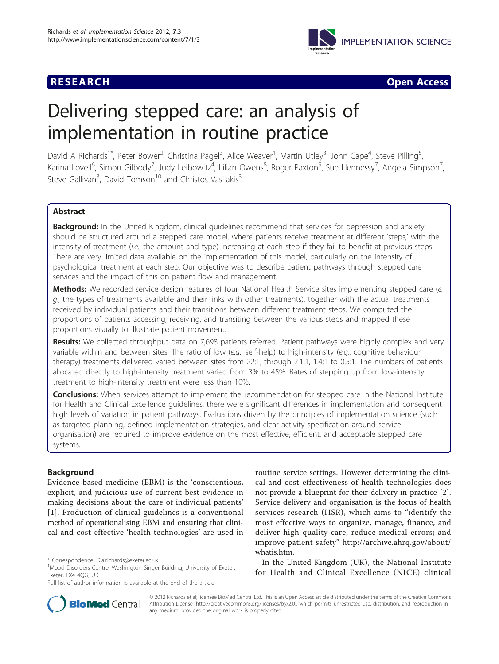

**RESEARCH CONSTRUCTION CONSTRUCTS** 

# Delivering stepped care: an analysis of implementation in routine practice

David A Richards<sup>1\*</sup>, Peter Bower<sup>2</sup>, Christina Pagel<sup>3</sup>, Alice Weaver<sup>1</sup>, Martin Utley<sup>3</sup>, John Cape<sup>4</sup>, Steve Pilling<sup>5</sup> , Karina Lovell<sup>6</sup>, Simon Gilbody<sup>7</sup>, Judy Leibowitz<sup>4</sup>, Lilian Owens<sup>8</sup>, Roger Paxton<sup>9</sup>, Sue Hennessy<sup>7</sup>, Angela Simpson<sup>7</sup> , Steve Gallivan<sup>3</sup>, David Tomson<sup>10</sup> and Christos Vasilakis<sup>3</sup>

# Abstract

Background: In the United Kingdom, clinical quidelines recommend that services for depression and anxiety should be structured around a stepped care model, where patients receive treatment at different 'steps,' with the intensity of treatment (i.e., the amount and type) increasing at each step if they fail to benefit at previous steps. There are very limited data available on the implementation of this model, particularly on the intensity of psychological treatment at each step. Our objective was to describe patient pathways through stepped care services and the impact of this on patient flow and management.

Methods: We recorded service design features of four National Health Service sites implementing stepped care (e.  $g$ , the types of treatments available and their links with other treatments), together with the actual treatments received by individual patients and their transitions between different treatment steps. We computed the proportions of patients accessing, receiving, and transiting between the various steps and mapped these proportions visually to illustrate patient movement.

Results: We collected throughput data on 7,698 patients referred. Patient pathways were highly complex and very variable within and between sites. The ratio of low (e.g., self-help) to high-intensity (e.g., cognitive behaviour therapy) treatments delivered varied between sites from 22:1, through 2.1:1, 1.4:1 to 0.5:1. The numbers of patients allocated directly to high-intensity treatment varied from 3% to 45%. Rates of stepping up from low-intensity treatment to high-intensity treatment were less than 10%.

**Conclusions:** When services attempt to implement the recommendation for stepped care in the National Institute for Health and Clinical Excellence guidelines, there were significant differences in implementation and consequent high levels of variation in patient pathways. Evaluations driven by the principles of implementation science (such as targeted planning, defined implementation strategies, and clear activity specification around service organisation) are required to improve evidence on the most effective, efficient, and acceptable stepped care systems.

# Background

Evidence-based medicine (EBM) is the 'conscientious, explicit, and judicious use of current best evidence in making decisions about the care of individual patients' [[1](#page-9-0)]. Production of clinical guidelines is a conventional method of operationalising EBM and ensuring that clinical and cost-effective 'health technologies' are used in



In the United Kingdom (UK), the National Institute for Health and Clinical Excellence (NICE) clinical



© 2012 Richards et al; licensee BioMed Central Ltd. This is an Open Access article distributed under the terms of the Creative Commons Attribution License [\(http://creativecommons.org/licenses/by/2.0](http://creativecommons.org/licenses/by/2.0)), which permits unrestricted use, distribution, and reproduction in any medium, provided the original work is properly cited.

<sup>\*</sup> Correspondence: [D.a.richards@exeter.ac.uk](mailto:D.a.richards@exeter.ac.uk)

<sup>&</sup>lt;sup>1</sup>Mood Disorders Centre, Washington Singer Building, University of Exeter, Exeter, EX4 4QG, UK

Full list of author information is available at the end of the article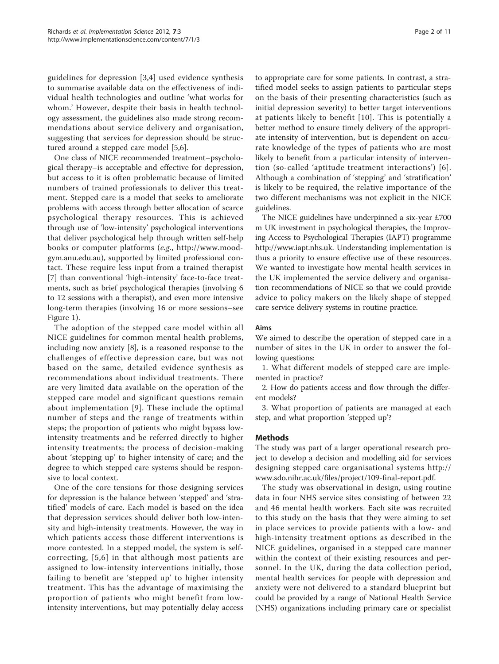guidelines for depression [\[3](#page-9-0),[4\]](#page-9-0) used evidence synthesis to summarise available data on the effectiveness of individual health technologies and outline 'what works for whom.' However, despite their basis in health technology assessment, the guidelines also made strong recommendations about service delivery and organisation, suggesting that services for depression should be structured around a stepped care model [[5,6\]](#page-9-0).

One class of NICE recommended treatment–psychological therapy–is acceptable and effective for depression, but access to it is often problematic because of limited numbers of trained professionals to deliver this treatment. Stepped care is a model that seeks to ameliorate problems with access through better allocation of scarce psychological therapy resources. This is achieved through use of 'low-intensity' psychological interventions that deliver psychological help through written self-help books or computer platforms (e.g., [http://www.mood](http://www.moodgym.anu.edu.au)[gym.anu.edu.au\)](http://www.moodgym.anu.edu.au), supported by limited professional contact. These require less input from a trained therapist [[7\]](#page-9-0) than conventional 'high-intensity' face-to-face treatments, such as brief psychological therapies (involving 6 to 12 sessions with a therapist), and even more intensive long-term therapies (involving 16 or more sessions–see Figure [1](#page-2-0)).

The adoption of the stepped care model within all NICE guidelines for common mental health problems, including now anxiety [\[8](#page-9-0)], is a reasoned response to the challenges of effective depression care, but was not based on the same, detailed evidence synthesis as recommendations about individual treatments. There are very limited data available on the operation of the stepped care model and significant questions remain about implementation [[9\]](#page-9-0). These include the optimal number of steps and the range of treatments within steps; the proportion of patients who might bypass lowintensity treatments and be referred directly to higher intensity treatments; the process of decision-making about 'stepping up' to higher intensity of care; and the degree to which stepped care systems should be responsive to local context.

One of the core tensions for those designing services for depression is the balance between 'stepped' and 'stratified' models of care. Each model is based on the idea that depression services should deliver both low-intensity and high-intensity treatments. However, the way in which patients access those different interventions is more contested. In a stepped model, the system is selfcorrecting, [[5](#page-9-0),[6](#page-9-0)] in that although most patients are assigned to low-intensity interventions initially, those failing to benefit are 'stepped up' to higher intensity treatment. This has the advantage of maximising the proportion of patients who might benefit from lowintensity interventions, but may potentially delay access

to appropriate care for some patients. In contrast, a stratified model seeks to assign patients to particular steps on the basis of their presenting characteristics (such as initial depression severity) to better target interventions at patients likely to benefit [[10](#page-9-0)]. This is potentially a better method to ensure timely delivery of the appropriate intensity of intervention, but is dependent on accurate knowledge of the types of patients who are most likely to benefit from a particular intensity of intervention (so-called 'aptitude treatment interactions') [[6\]](#page-9-0). Although a combination of 'stepping' and 'stratification' is likely to be required, the relative importance of the two different mechanisms was not explicit in the NICE guidelines.

The NICE guidelines have underpinned a six-year £700 m UK investment in psychological therapies, the Improving Access to Psychological Therapies (IAPT) programme [http://www.iapt.nhs.uk.](http://www.iapt.nhs.uk) Understanding implementation is thus a priority to ensure effective use of these resources. We wanted to investigate how mental health services in the UK implemented the service delivery and organisation recommendations of NICE so that we could provide advice to policy makers on the likely shape of stepped care service delivery systems in routine practice.

#### Aims

We aimed to describe the operation of stepped care in a number of sites in the UK in order to answer the following questions:

1. What different models of stepped care are implemented in practice?

2. How do patients access and flow through the different models?

3. What proportion of patients are managed at each step, and what proportion 'stepped up'?

#### Methods

The study was part of a larger operational research project to develop a decision and modelling aid for services designing stepped care organisational systems [http://](http://www.sdo.nihr.ac.uk/files/project/109-final-report.pdf) [www.sdo.nihr.ac.uk/files/project/109-final-report.pdf](http://www.sdo.nihr.ac.uk/files/project/109-final-report.pdf).

The study was observational in design, using routine data in four NHS service sites consisting of between 22 and 46 mental health workers. Each site was recruited to this study on the basis that they were aiming to set in place services to provide patients with a low- and high-intensity treatment options as described in the NICE guidelines, organised in a stepped care manner within the context of their existing resources and personnel. In the UK, during the data collection period, mental health services for people with depression and anxiety were not delivered to a standard blueprint but could be provided by a range of National Health Service (NHS) organizations including primary care or specialist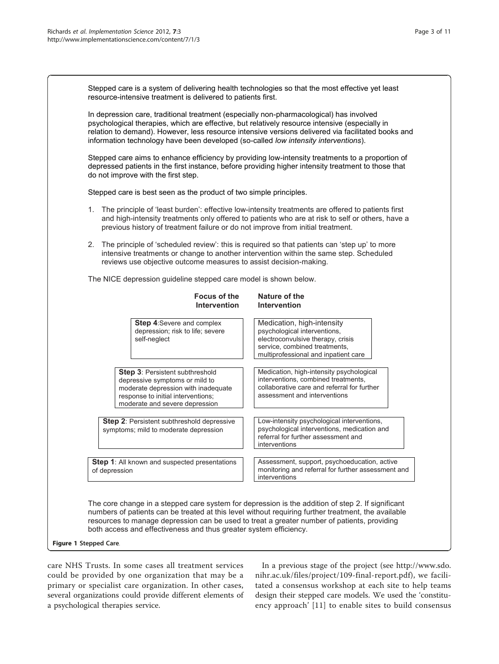<span id="page-2-0"></span>

| Stepped care is a system of delivering health technologies so that the most effective yet least<br>resource-intensive treatment is delivered to patients first.                                                                                                                                                                                                                                        |                                                                                                                                                                          |  |  |  |  |  |  |
|--------------------------------------------------------------------------------------------------------------------------------------------------------------------------------------------------------------------------------------------------------------------------------------------------------------------------------------------------------------------------------------------------------|--------------------------------------------------------------------------------------------------------------------------------------------------------------------------|--|--|--|--|--|--|
| In depression care, traditional treatment (especially non-pharmacological) has involved<br>psychological therapies, which are effective, but relatively resource intensive (especially in<br>relation to demand). However, less resource intensive versions delivered via facilitated books and<br>information technology have been developed (so-called low intensity interventions).                 |                                                                                                                                                                          |  |  |  |  |  |  |
| Stepped care aims to enhance efficiency by providing low-intensity treatments to a proportion of<br>depressed patients in the first instance, before providing higher intensity treatment to those that<br>do not improve with the first step.                                                                                                                                                         |                                                                                                                                                                          |  |  |  |  |  |  |
| Stepped care is best seen as the product of two simple principles.                                                                                                                                                                                                                                                                                                                                     |                                                                                                                                                                          |  |  |  |  |  |  |
| 1. The principle of 'least burden': effective low-intensity treatments are offered to patients first<br>and high-intensity treatments only offered to patients who are at risk to self or others, have a<br>previous history of treatment failure or do not improve from initial treatment.                                                                                                            |                                                                                                                                                                          |  |  |  |  |  |  |
| The principle of 'scheduled review': this is required so that patients can 'step up' to more<br>2.<br>intensive treatments or change to another intervention within the same step. Scheduled<br>reviews use objective outcome measures to assist decision-making.                                                                                                                                      |                                                                                                                                                                          |  |  |  |  |  |  |
| The NICE depression guideline stepped care model is shown below.                                                                                                                                                                                                                                                                                                                                       |                                                                                                                                                                          |  |  |  |  |  |  |
| <b>Focus of the</b><br><b>Intervention</b>                                                                                                                                                                                                                                                                                                                                                             | Nature of the<br><b>Intervention</b>                                                                                                                                     |  |  |  |  |  |  |
| <b>Step 4:Severe and complex</b><br>depression; risk to life; severe<br>self-neglect                                                                                                                                                                                                                                                                                                                   | Medication, high-intensity<br>psychological interventions,<br>electroconvulsive therapy, crisis<br>service, combined treatments,<br>multiprofessional and inpatient care |  |  |  |  |  |  |
| Step 3: Persistent subthreshold<br>depressive symptoms or mild to<br>moderate depression with inadequate<br>response to initial interventions;<br>moderate and severe depression                                                                                                                                                                                                                       | Medication, high-intensity psychological<br>interventions, combined treatments,<br>collaborative care and referral for further<br>assessment and interventions           |  |  |  |  |  |  |
| Step 2: Persistent subthreshold depressive<br>symptoms; mild to moderate depression                                                                                                                                                                                                                                                                                                                    | Low-intensity psychological interventions,<br>psychological interventions, medication and<br>referral for further assessment and<br>interventions                        |  |  |  |  |  |  |
| Step 1: All known and suspected presentations<br>of depression                                                                                                                                                                                                                                                                                                                                         | Assessment, support, psychoeducation, active<br>monitoring and referral for further assessment and<br>interventions                                                      |  |  |  |  |  |  |
| The core change in a stepped care system for depression is the addition of step 2. If significant<br>numbers of patients can be treated at this level without requiring further treatment, the available<br>resources to manage depression can be used to treat a greater number of patients, providing<br>both access and effectiveness and thus greater system efficiency.<br>Figure 1 Stepped Care. |                                                                                                                                                                          |  |  |  |  |  |  |
|                                                                                                                                                                                                                                                                                                                                                                                                        |                                                                                                                                                                          |  |  |  |  |  |  |

care NHS Trusts. In some cases all treatment services could be provided by one organization that may be a primary or specialist care organization. In other cases, several organizations could provide different elements of a psychological therapies service.

In a previous stage of the project (see [http://www.sdo.](http://www.sdo.nihr.ac.uk/files/project/109-final-report.pdf) [nihr.ac.uk/files/project/109-final-report.pdf](http://www.sdo.nihr.ac.uk/files/project/109-final-report.pdf)), we facilitated a consensus workshop at each site to help teams design their stepped care models. We used the 'constituency approach' [[11](#page-9-0)] to enable sites to build consensus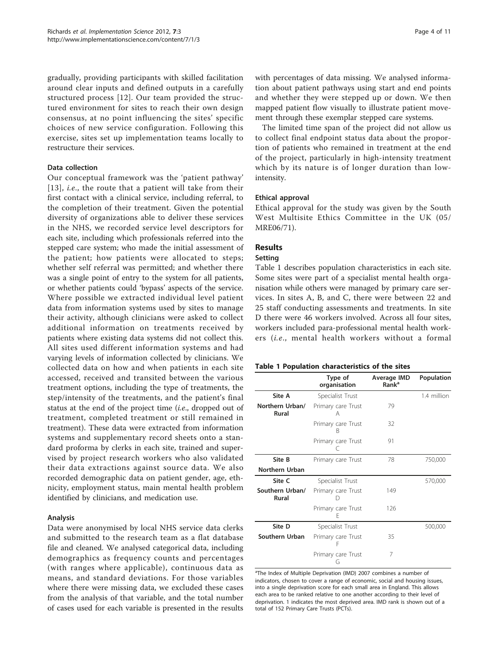gradually, providing participants with skilled facilitation around clear inputs and defined outputs in a carefully structured process [[12](#page-9-0)]. Our team provided the structured environment for sites to reach their own design consensus, at no point influencing the sites' specific choices of new service configuration. Following this exercise, sites set up implementation teams locally to restructure their services.

### Data collection

Our conceptual framework was the 'patient pathway' [[13\]](#page-9-0), *i.e.*, the route that a patient will take from their first contact with a clinical service, including referral, to the completion of their treatment. Given the potential diversity of organizations able to deliver these services in the NHS, we recorded service level descriptors for each site, including which professionals referred into the stepped care system; who made the initial assessment of the patient; how patients were allocated to steps; whether self referral was permitted; and whether there was a single point of entry to the system for all patients, or whether patients could 'bypass' aspects of the service. Where possible we extracted individual level patient data from information systems used by sites to manage their activity, although clinicians were asked to collect additional information on treatments received by patients where existing data systems did not collect this. All sites used different information systems and had varying levels of information collected by clinicians. We collected data on how and when patients in each site accessed, received and transited between the various treatment options, including the type of treatments, the step/intensity of the treatments, and the patient's final status at the end of the project time (i.e., dropped out of treatment, completed treatment or still remained in treatment). These data were extracted from information systems and supplementary record sheets onto a standard proforma by clerks in each site, trained and supervised by project research workers who also validated their data extractions against source data. We also recorded demographic data on patient gender, age, ethnicity, employment status, main mental health problem identified by clinicians, and medication use.

# Analysis

Data were anonymised by local NHS service data clerks and submitted to the research team as a flat database file and cleaned. We analysed categorical data, including demographics as frequency counts and percentages (with ranges where applicable), continuous data as means, and standard deviations. For those variables where there were missing data, we excluded these cases from the analysis of that variable, and the total number of cases used for each variable is presented in the results with percentages of data missing. We analysed information about patient pathways using start and end points and whether they were stepped up or down. We then mapped patient flow visually to illustrate patient movement through these exemplar stepped care systems.

The limited time span of the project did not allow us to collect final endpoint status data about the proportion of patients who remained in treatment at the end of the project, particularly in high-intensity treatment which by its nature is of longer duration than lowintensity.

### Ethical approval

Ethical approval for the study was given by the South West Multisite Ethics Committee in the UK (05/ MRE06/71).

# Results

#### Setting

Table 1 describes population characteristics in each site. Some sites were part of a specialist mental health organisation while others were managed by primary care services. In sites A, B, and C, there were between 22 and 25 staff conducting assessments and treatments. In site D there were 46 workers involved. Across all four sites, workers included para-professional mental health workers (i.e., mental health workers without a formal

#### Table 1 Population characteristics of the sites

|                          | Type of<br>organisation | <b>Average IMD</b><br>Rank <sup>a</sup> | Population  |
|--------------------------|-------------------------|-----------------------------------------|-------------|
| Site A                   | Specialist Trust        |                                         | 1.4 million |
| Northern Urban/<br>Rural | Primary care Trust<br>А | 79                                      |             |
|                          | Primary care Trust<br>к | 32                                      |             |
|                          | Primary care Trust      | 91                                      |             |
| Site B                   | Primary care Trust      | 78                                      | 750,000     |
| Northern Urban           |                         |                                         |             |
| Site C                   | Specialist Trust        |                                         | 570,000     |
| Southern Urban/<br>Rural | Primary care Trust      | 149                                     |             |
|                          | Primary care Trust<br>F | 126                                     |             |
| Site D                   | Specialist Trust        |                                         | 500,000     |
| Southern Urban           | Primary care Trust      | 35                                      |             |
|                          | Primary care Trust<br>G | 7                                       |             |

<sup>a</sup>The Index of Multiple Deprivation (IMD) 2007 combines a number of indicators, chosen to cover a range of economic, social and housing issues, into a single deprivation score for each small area in England. This allows each area to be ranked relative to one another according to their level of deprivation. 1 indicates the most deprived area. IMD rank is shown out of a total of 152 Primary Care Trusts (PCTs).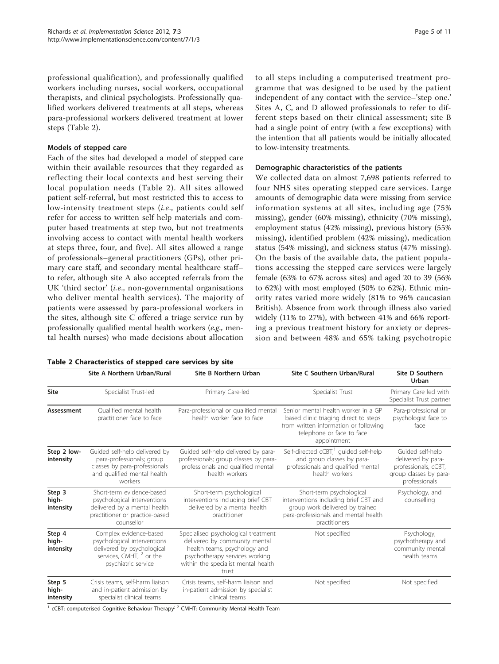professional qualification), and professionally qualified workers including nurses, social workers, occupational therapists, and clinical psychologists. Professionally qualified workers delivered treatments at all steps, whereas para-professional workers delivered treatment at lower steps (Table 2).

### Models of stepped care

Each of the sites had developed a model of stepped care within their available resources that they regarded as reflecting their local contexts and best serving their local population needs (Table 2). All sites allowed patient self-referral, but most restricted this to access to low-intensity treatment steps (i.e., patients could self refer for access to written self help materials and computer based treatments at step two, but not treatments involving access to contact with mental health workers at steps three, four, and five). All sites allowed a range of professionals–general practitioners (GPs), other primary care staff, and secondary mental healthcare staff– to refer, although site A also accepted referrals from the UK 'third sector' (i.e., non-governmental organisations who deliver mental health services). The majority of patients were assessed by para-professional workers in the sites, although site C offered a triage service run by professionally qualified mental health workers (e.g., mental health nurses) who made decisions about allocation

|  | Table 2 Characteristics of stepped care services by site |  |  |  |  |  |  |
|--|----------------------------------------------------------|--|--|--|--|--|--|
|--|----------------------------------------------------------|--|--|--|--|--|--|

to low-intensity treatments. Demographic characteristics of the patients We collected data on almost 7,698 patients referred to four NHS sites operating stepped care services. Large amounts of demographic data were missing from service

information systems at all sites, including age (75% missing), gender (60% missing), ethnicity (70% missing), employment status (42% missing), previous history (55% missing), identified problem (42% missing), medication status (54% missing), and sickness status (47% missing). On the basis of the available data, the patient populations accessing the stepped care services were largely female (63% to 67% across sites) and aged 20 to 39 (56% to 62%) with most employed (50% to 62%). Ethnic minority rates varied more widely (81% to 96% caucasian British). Absence from work through illness also varied widely (11% to 27%), with between 41% and 66% reporting a previous treatment history for anxiety or depression and between 48% and 65% taking psychotropic

to all steps including a computerised treatment programme that was designed to be used by the patient independent of any contact with the service–'step one.' Sites A, C, and D allowed professionals to refer to different steps based on their clinical assessment; site B had a single point of entry (with a few exceptions) with the intention that all patients would be initially allocated

|                              |                                                                                                                                                   |                                                                                                                                                                                                         |                                                                                                                                                                   | Urban                                                                                                     |  |
|------------------------------|---------------------------------------------------------------------------------------------------------------------------------------------------|---------------------------------------------------------------------------------------------------------------------------------------------------------------------------------------------------------|-------------------------------------------------------------------------------------------------------------------------------------------------------------------|-----------------------------------------------------------------------------------------------------------|--|
| <b>Site</b>                  | Specialist Trust-led                                                                                                                              | Primary Care-led                                                                                                                                                                                        | Specialist Trust                                                                                                                                                  | Primary Care led with<br>Specialist Trust partner                                                         |  |
| Assessment                   | Qualified mental health<br>practitioner face to face                                                                                              | Para-professional or qualified mental<br>health worker face to face                                                                                                                                     | Senior mental health worker in a GP<br>based clinic triaging direct to steps<br>from written information or following<br>telephone or face to face<br>appointment | Para-professional or<br>psychologist face to<br>face                                                      |  |
| Step 2 low-<br>intensity     | Guided self-help delivered by<br>para-professionals; group<br>classes by para-professionals<br>and qualified mental health<br>workers             | Guided self-help delivered by para-<br>professionals; group classes by para-<br>professionals and qualified mental<br>health workers                                                                    | Self-directed cCBT, <sup>1</sup> guided self-help<br>and group classes by para-<br>professionals and qualified mental<br>health workers                           | Guided self-help<br>delivered by para-<br>professionals, cCBT,<br>group classes by para-<br>professionals |  |
| Step 3<br>high-<br>intensity | Short-term evidence-based<br>psychological interventions<br>delivered by a mental health<br>practitioner or practice-based<br>counsellor          | Short-term psychological<br>interventions including brief CBT<br>delivered by a mental health<br>practitioner                                                                                           | Short-term psychological<br>interventions including brief CBT and<br>group work delivered by trained<br>para-professionals and mental health<br>practitioners     |                                                                                                           |  |
| Step 4<br>high-<br>intensity | Complex evidence-based<br>psychological interventions<br>delivered by psychological<br>services, CMHT, <sup>2</sup> or the<br>psychiatric service | Not specified<br>Specialised psychological treatment<br>delivered by community mental<br>health teams, psychology and<br>psychotherapy services working<br>within the specialist mental health<br>trust |                                                                                                                                                                   | Psychology,<br>psychotherapy and<br>community mental<br>health teams                                      |  |
| Step 5<br>high-<br>intensity | Crisis teams, self-harm liaison<br>and in-patient admission by<br>specialist clinical teams                                                       | Crisis teams, self-harm liaison and<br>in-patient admission by specialist<br>clinical teams<br>$\sim$ $\sim$                                                                                            | Not specified                                                                                                                                                     | Not specified                                                                                             |  |

Site A Northern Urban/Rural Site B Northern Urban Site C Southern Urban/Rural Site D Southern

 $<sup>1</sup>$  cCBT: computerised Cognitive Behaviour Therapy<sup>; 2</sup> CMHT: Community Mental Health Team</sup>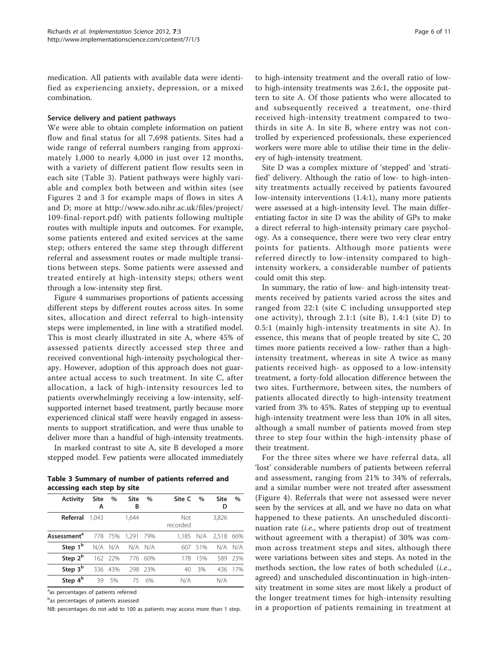medication. All patients with available data were identified as experiencing anxiety, depression, or a mixed combination.

#### Service delivery and patient pathways

We were able to obtain complete information on patient flow and final status for all 7,698 patients. Sites had a wide range of referral numbers ranging from approximately 1,000 to nearly 4,000 in just over 12 months, with a variety of different patient flow results seen in each site (Table 3). Patient pathways were highly variable and complex both between and within sites (see Figures [2](#page-6-0) and [3](#page-7-0) for example maps of flows in sites A and D; more at [http://www.sdo.nihr.ac.uk/files/project/](http://www.sdo.nihr.ac.uk/files/project/109-final-report.pdf) [109-final-report.pdf\)](http://www.sdo.nihr.ac.uk/files/project/109-final-report.pdf) with patients following multiple routes with multiple inputs and outcomes. For example, some patients entered and exited services at the same step; others entered the same step through different referral and assessment routes or made multiple transitions between steps. Some patients were assessed and treated entirely at high-intensity steps; others went through a low-intensity step first.

Figure [4](#page-7-0) summarises proportions of patients accessing different steps by different routes across sites. In some sites, allocation and direct referral to high-intensity steps were implemented, in line with a stratified model. This is most clearly illustrated in site A, where 45% of assessed patients directly accessed step three and received conventional high-intensity psychological therapy. However, adoption of this approach does not guarantee actual access to such treatment. In site C, after allocation, a lack of high-intensity resources led to patients overwhelmingly receiving a low-intensity, selfsupported internet based treatment, partly because more experienced clinical staff were heavily engaged in assessments to support stratification, and were thus unable to deliver more than a handful of high-intensity treatments.

In marked contrast to site A, site B developed a more stepped model. Few patients were allocated immediately

Table 3 Summary of number of patients referred and accessing each step by site

| Activity                | <b>Site</b><br>А | $\%$    | <b>Site</b><br>в | $\%$    | Site C                 | $\%$ | <b>Site</b><br>D    | $\%$    |
|-------------------------|------------------|---------|------------------|---------|------------------------|------|---------------------|---------|
| Referral                | 1.043            |         | 1,644            |         | <b>Not</b><br>recorded |      | 3,826               |         |
| Assessment <sup>a</sup> |                  | 778 75% | 1.291            | 79%     |                        |      | 1,185 N/A 2,518 66% |         |
| Step 1 <sup>b</sup>     |                  | N/A N/A |                  | N/A N/A | 607                    | 51%  |                     | N/A N/A |
| Step 2 <sup>b</sup>     |                  | 162 22% |                  | 776 60% | 178                    | 15%  | 589                 | 23%     |
| Step 3 <sup>b</sup>     | 336              | 43%     |                  | 298 23% | 40                     | 3%   |                     | 436 17% |
| Step 4 <sup>b</sup>     | 39               | 5%      | 75               | 6%      | N/A                    |      | N/A                 |         |

<sup>a</sup>as percentages of patients referred

<sup>b</sup>as percentages of patients assessed

NB: percentages do not add to 100 as patients may access more than 1 step.

to high-intensity treatment and the overall ratio of lowto high-intensity treatments was 2.6:1, the opposite pattern to site A. Of those patients who were allocated to and subsequently received a treatment, one-third received high-intensity treatment compared to twothirds in site A. In site B, where entry was not controlled by experienced professionals, these experienced workers were more able to utilise their time in the delivery of high-intensity treatment.

Site D was a complex mixture of 'stepped' and 'stratified' delivery. Although the ratio of low- to high-intensity treatments actually received by patients favoured low-intensity interventions (1.4:1), many more patients were assessed at a high-intensity level. The main differentiating factor in site D was the ability of GPs to make a direct referral to high-intensity primary care psychology. As a consequence, there were two very clear entry points for patients. Although more patients were referred directly to low-intensity compared to highintensity workers, a considerable number of patients could omit this step.

In summary, the ratio of low- and high-intensity treatments received by patients varied across the sites and ranged from 22:1 (site C including unsupported step one activity), through 2.1:1 (site B), 1.4:1 (site D) to 0.5:1 (mainly high-intensity treatments in site A). In essence, this means that of people treated by site C, 20 times more patients received a low- rather than a highintensity treatment, whereas in site A twice as many patients received high- as opposed to a low-intensity treatment, a forty-fold allocation difference between the two sites. Furthermore, between sites, the numbers of patients allocated directly to high-intensity treatment varied from 3% to 45%. Rates of stepping up to eventual high-intensity treatment were less than 10% in all sites, although a small number of patients moved from step three to step four within the high-intensity phase of their treatment.

For the three sites where we have referral data, all 'lost' considerable numbers of patients between referral and assessment, ranging from 21% to 34% of referrals, and a similar number were not treated after assessment (Figure [4](#page-7-0)). Referrals that were not assessed were never seen by the services at all, and we have no data on what happened to these patients. An unscheduled discontinuation rate *(i.e.*, where patients drop out of treatment without agreement with a therapist) of 30% was common across treatment steps and sites, although there were variations between sites and steps. As noted in the methods section, the low rates of both scheduled  $(i.e.,$ agreed) and unscheduled discontinuation in high-intensity treatment in some sites are most likely a product of the longer treatment times for high-intensity resulting in a proportion of patients remaining in treatment at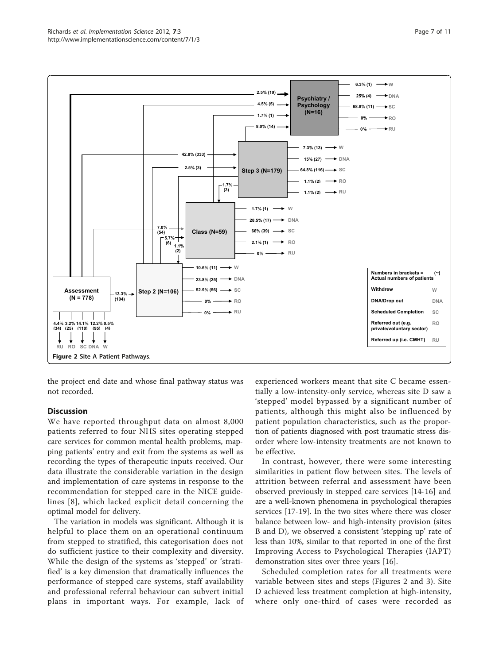<span id="page-6-0"></span>

the project end date and whose final pathway status was not recorded.

#### **Discussion**

We have reported throughput data on almost 8,000 patients referred to four NHS sites operating stepped care services for common mental health problems, mapping patients' entry and exit from the systems as well as recording the types of therapeutic inputs received. Our data illustrate the considerable variation in the design and implementation of care systems in response to the recommendation for stepped care in the NICE guidelines [[8\]](#page-9-0), which lacked explicit detail concerning the optimal model for delivery.

The variation in models was significant. Although it is helpful to place them on an operational continuum from stepped to stratified, this categorisation does not do sufficient justice to their complexity and diversity. While the design of the systems as 'stepped' or 'stratified' is a key dimension that dramatically influences the performance of stepped care systems, staff availability and professional referral behaviour can subvert initial plans in important ways. For example, lack of

experienced workers meant that site C became essentially a low-intensity-only service, whereas site D saw a 'stepped' model bypassed by a significant number of patients, although this might also be influenced by patient population characteristics, such as the proportion of patients diagnosed with post traumatic stress disorder where low-intensity treatments are not known to be effective.

In contrast, however, there were some interesting similarities in patient flow between sites. The levels of attrition between referral and assessment have been observed previously in stepped care services [[14-16\]](#page-9-0) and are a well-known phenomena in psychological therapies services [\[17-19](#page-9-0)]. In the two sites where there was closer balance between low- and high-intensity provision (sites B and D), we observed a consistent 'stepping up' rate of less than 10%, similar to that reported in one of the first Improving Access to Psychological Therapies (IAPT) demonstration sites over three years [\[16\]](#page-9-0).

Scheduled completion rates for all treatments were variable between sites and steps (Figures 2 and [3\)](#page-7-0). Site D achieved less treatment completion at high-intensity, where only one-third of cases were recorded as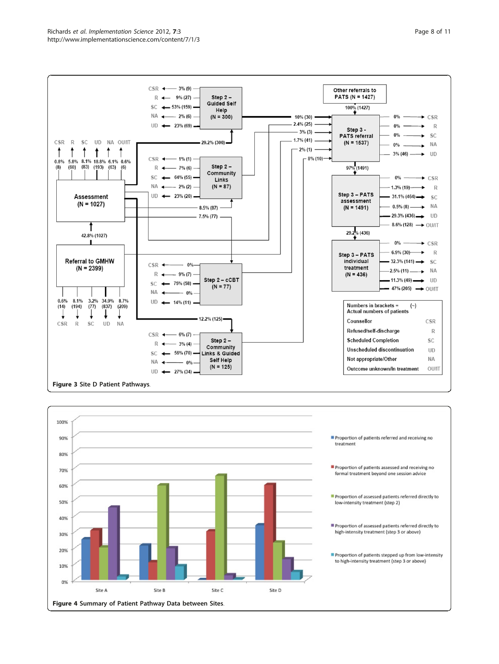<span id="page-7-0"></span>

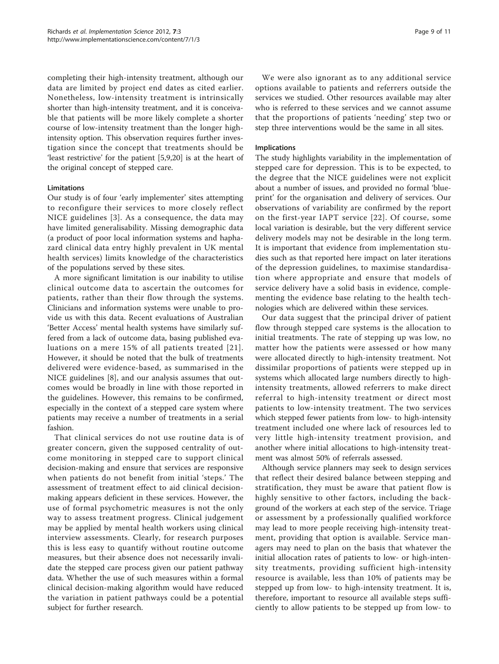completing their high-intensity treatment, although our data are limited by project end dates as cited earlier. Nonetheless, low-intensity treatment is intrinsically shorter than high-intensity treatment, and it is conceivable that patients will be more likely complete a shorter course of low-intensity treatment than the longer highintensity option. This observation requires further investigation since the concept that treatments should be 'least restrictive' for the patient [\[5,9](#page-9-0),[20](#page-9-0)] is at the heart of the original concept of stepped care.

### Limitations

Our study is of four 'early implementer' sites attempting to reconfigure their services to more closely reflect NICE guidelines [[3](#page-9-0)]. As a consequence, the data may have limited generalisability. Missing demographic data (a product of poor local information systems and haphazard clinical data entry highly prevalent in UK mental health services) limits knowledge of the characteristics of the populations served by these sites.

A more significant limitation is our inability to utilise clinical outcome data to ascertain the outcomes for patients, rather than their flow through the systems. Clinicians and information systems were unable to provide us with this data. Recent evaluations of Australian 'Better Access' mental health systems have similarly suffered from a lack of outcome data, basing published evaluations on a mere 15% of all patients treated [[21\]](#page-9-0). However, it should be noted that the bulk of treatments delivered were evidence-based, as summarised in the NICE guidelines [\[8](#page-9-0)], and our analysis assumes that outcomes would be broadly in line with those reported in the guidelines. However, this remains to be confirmed, especially in the context of a stepped care system where patients may receive a number of treatments in a serial fashion.

That clinical services do not use routine data is of greater concern, given the supposed centrality of outcome monitoring in stepped care to support clinical decision-making and ensure that services are responsive when patients do not benefit from initial 'steps.' The assessment of treatment effect to aid clinical decisionmaking appears deficient in these services. However, the use of formal psychometric measures is not the only way to assess treatment progress. Clinical judgement may be applied by mental health workers using clinical interview assessments. Clearly, for research purposes this is less easy to quantify without routine outcome measures, but their absence does not necessarily invalidate the stepped care process given our patient pathway data. Whether the use of such measures within a formal clinical decision-making algorithm would have reduced the variation in patient pathways could be a potential subject for further research.

We were also ignorant as to any additional service options available to patients and referrers outside the services we studied. Other resources available may alter who is referred to these services and we cannot assume that the proportions of patients 'needing' step two or step three interventions would be the same in all sites.

#### Implications

The study highlights variability in the implementation of stepped care for depression. This is to be expected, to the degree that the NICE guidelines were not explicit about a number of issues, and provided no formal 'blueprint' for the organisation and delivery of services. Our observations of variability are confirmed by the report on the first-year IAPT service [[22](#page-9-0)]. Of course, some local variation is desirable, but the very different service delivery models may not be desirable in the long term. It is important that evidence from implementation studies such as that reported here impact on later iterations of the depression guidelines, to maximise standardisation where appropriate and ensure that models of service delivery have a solid basis in evidence, complementing the evidence base relating to the health technologies which are delivered within these services.

Our data suggest that the principal driver of patient flow through stepped care systems is the allocation to initial treatments. The rate of stepping up was low, no matter how the patients were assessed or how many were allocated directly to high-intensity treatment. Not dissimilar proportions of patients were stepped up in systems which allocated large numbers directly to highintensity treatments, allowed referrers to make direct referral to high-intensity treatment or direct most patients to low-intensity treatment. The two services which stepped fewer patients from low- to high-intensity treatment included one where lack of resources led to very little high-intensity treatment provision, and another where initial allocations to high-intensity treatment was almost 50% of referrals assessed.

Although service planners may seek to design services that reflect their desired balance between stepping and stratification, they must be aware that patient flow is highly sensitive to other factors, including the background of the workers at each step of the service. Triage or assessment by a professionally qualified workforce may lead to more people receiving high-intensity treatment, providing that option is available. Service managers may need to plan on the basis that whatever the initial allocation rates of patients to low- or high-intensity treatments, providing sufficient high-intensity resource is available, less than 10% of patients may be stepped up from low- to high-intensity treatment. It is, therefore, important to resource all available steps sufficiently to allow patients to be stepped up from low- to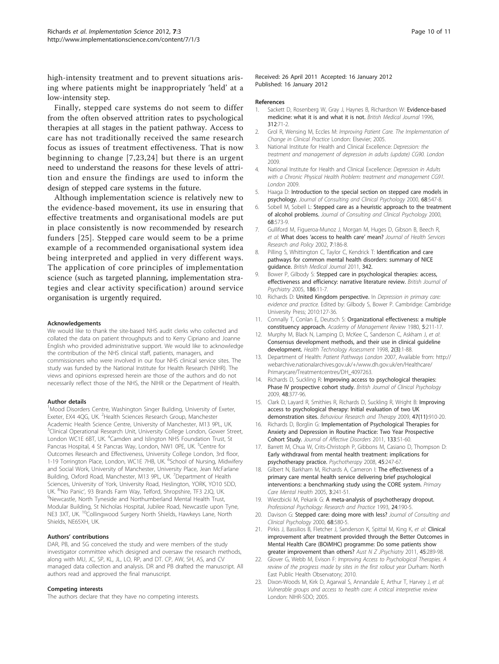<span id="page-9-0"></span>high-intensity treatment and to prevent situations arising where patients might be inappropriately 'held' at a low-intensity step.

Finally, stepped care systems do not seem to differ from the often observed attrition rates to psychological therapies at all stages in the patient pathway. Access to care has not traditionally received the same research focus as issues of treatment effectiveness. That is now beginning to change [7,23,[24](#page-10-0)] but there is an urgent need to understand the reasons for these levels of attrition and ensure the findings are used to inform the design of stepped care systems in the future.

Although implementation science is relatively new to the evidence-based movement, its use in ensuring that effective treatments and organisational models are put in place consistently is now recommended by research funders [\[25\]](#page-10-0). Stepped care would seem to be a prime example of a recommended organisational system idea being interpreted and applied in very different ways. The application of core principles of implementation science (such as targeted planning, implementation strategies and clear activity specification) around service organisation is urgently required.

#### Acknowledgements

We would like to thank the site-based NHS audit clerks who collected and collated the data on patient throughputs and to Kerry Cipriano and Joanne English who provided administrative support. We would like to acknowledge the contribution of the NHS clinical staff, patients, managers, and commissioners who were involved in our four NHS clinical service sites. The study was funded by the National Institute for Health Research (NIHR). The views and opinions expressed herein are those of the authors and do not necessarily reflect those of the NHS, the NIHR or the Department of Health.

#### Author details

<sup>1</sup>Mood Disorders Centre, Washington Singer Building, University of Exeter, Exeter, EX4 4QG, UK. <sup>2</sup>Health Sciences Research Group, Manchester Academic Health Science Centre, University of Manchester, M13 9PL, UK. <sup>3</sup>Clinical Operational Research Unit, University College London, Gower Street, London WC1E 6BT, UK. <sup>4</sup>Camden and Islington NHS Foundation Trust, St Pancras Hospital, 4 St Pancras Way, London, NW1 0PE, UK. <sup>5</sup>Centre for Outcomes Research and Effectiveness, University College London, 3rd floor, 1-19 Torrington Place, London, WC1E 7HB, UK. <sup>6</sup>School of Nursing, Midwifery and Social Work, University of Manchester, University Place, Jean McFarlane Building, Oxford Road, Manchester, M13 9PL, UK. <sup>7</sup> Department of Health Sciences, University of York, University Road, Heslington, YORK, YO10 5DD, UK. <sup>8</sup>'No Panic', 93 Brands Farm Way, Telford, Shropshire, TF3 2JQ, UK.<br><sup>9</sup>Newcastle, North Tyneside and Northumberland Mental Health Trust Newcastle, North Tyneside and Northumberland Mental Health Trust, Modular Building, St Nicholas Hospital, Jubilee Road, Newcastle upon Tyne, NE3 3XT, UK. <sup>10</sup>Collingwood Surgery North Shields, Hawkeys Lane, North Shields, NE65XH, UK.

#### Authors' contributions

DAR, PB, and SG conceived the study and were members of the study investigator committee which designed and oversaw the research methods, along with MU, JC, SP, KL, JL, LO, RP, and DT. CP, AW, SH, AS, and CV managed data collection and analysis. DR and PB drafted the manuscript. All authors read and approved the final manuscript.

#### Competing interests

The authors declare that they have no competing interests.

#### Received: 26 April 2011 Accepted: 16 January 2012 Published: 16 January 2012

#### References

- 1. Sackett D, Rosenberg W, Gray J, Haynes B, Richardson W: [Evidence-based](http://www.ncbi.nlm.nih.gov/pubmed/8555924?dopt=Abstract) [medicine: what it is and what it is not.](http://www.ncbi.nlm.nih.gov/pubmed/8555924?dopt=Abstract) British Medical Journal 1996, 312:71-2.
- 2. Grol R, Wensing M, Eccles M: Improving Patient Care. The Implementation of Change in Clinical Practice London: Elsevier; 2005.
- 3. National Institute for Health and Clinical Excellence: Depression: the treatment and management of depression in adults (update) CG90. London 2009.
- 4. National Institute for Health and Clinical Excellence: Depression in Adults with a Chronic Physical Health Problem: treatment and management CG91. London 2009.
- 5. Haaga D: [Introduction to the special section on stepped care models in](http://www.ncbi.nlm.nih.gov/pubmed/10965628?dopt=Abstract) [psychology.](http://www.ncbi.nlm.nih.gov/pubmed/10965628?dopt=Abstract) Journal of Consulting and Clinical Psychology 2000, 68:547-8.
- 6. Sobell M, Sobell L: [Stepped care as a heuristic approach to the treatment](http://www.ncbi.nlm.nih.gov/pubmed/10965632?dopt=Abstract) [of alcohol problems.](http://www.ncbi.nlm.nih.gov/pubmed/10965632?dopt=Abstract) Journal of Consulting and Clinical Psychology 2000, 68:573-9.
- 7. Gulliford M, Figueroa-Munoz J, Morgan M, Huges D, Gibson B, Beech R, et al: What does '[access to health care](http://www.ncbi.nlm.nih.gov/pubmed/12171751?dopt=Abstract)' mean? Journal of Health Services Research and Policy 2002, 7:186-8.
- 8. Pilling S, Whittington C, Taylor C, Kendrick T: Identification and care pathways for common mental health disorders: summary of NICE guidance. British Medical Journal 2011, 342.
- 9. Bower P, Gilbody S: [Stepped care in psychological therapies: access,](http://www.ncbi.nlm.nih.gov/pubmed/15630118?dopt=Abstract) [effectiveness and efficiency: narrative literature review.](http://www.ncbi.nlm.nih.gov/pubmed/15630118?dopt=Abstract) British Journal of Psychiatry 2005, 186:11-7.
- 10. Richards D: United Kingdom perspective. In Depression in primary care: evidence and practice. Edited by: Gilbody S, Bower P. Cambridge: Cambridge University Press; 2010:127-36.
- 11. Connally T, Conlan E, Deutsch S: Organizational effectiveness: a multiple constituency approach. Academy of Management Review 1980, 5:211-17.
- 12. Murphy M, Black N, Lamping D, McKee C, Sanderson C, Askham J, et al: [Consensus development methods, and their use in clinical guideline](http://www.ncbi.nlm.nih.gov/pubmed/10347832?dopt=Abstract) [development.](http://www.ncbi.nlm.nih.gov/pubmed/10347832?dopt=Abstract) Health Technology Assessment 1998, 2(3):1-88.
- 13. Department of Health: Patient Pathways London 2007, Available from: http:// webarchive.nationalarchives.gov.uk/+/www.dh.gov.uk/en/Healthcare/ Primarycare/Treatmentcentres/DH\_4097263.
- 14. Richards D, Suckling R: [Improving access to psychological therapies:](http://www.ncbi.nlm.nih.gov/pubmed/19208291?dopt=Abstract) [Phase IV prospective cohort study.](http://www.ncbi.nlm.nih.gov/pubmed/19208291?dopt=Abstract) British Journal of Clinical Psychology 2009, 48:377-96.
- 15. Clark D, Layard R, Smithies R, Richards D, Suckling R, Wright B: [Improving](http://www.ncbi.nlm.nih.gov/pubmed/19647230?dopt=Abstract) [access to psychological therapy: Initial evaluation of two UK](http://www.ncbi.nlm.nih.gov/pubmed/19647230?dopt=Abstract) [demonstration sites.](http://www.ncbi.nlm.nih.gov/pubmed/19647230?dopt=Abstract) Behaviour Research and Therapy 2009, 47(11):910-20.
- 16. Richards D, Borglin G: Implementation [of Psychological Therapies for](http://www.ncbi.nlm.nih.gov/pubmed/21501876?dopt=Abstract) [Anxiety and Depression in Routine Practice: Two Year Prospective](http://www.ncbi.nlm.nih.gov/pubmed/21501876?dopt=Abstract) [Cohort Study.](http://www.ncbi.nlm.nih.gov/pubmed/21501876?dopt=Abstract) Journal of Affective Disorders 2011, 133:51-60.
- 17. Barrett M, Chua W, Crits-Christoph P, Gibbons M, Casiano D, Thompson D: [Early withdrawal from mental health treatment: implications for](http://www.ncbi.nlm.nih.gov/pubmed/19838318?dopt=Abstract) [psychotherapy practice.](http://www.ncbi.nlm.nih.gov/pubmed/19838318?dopt=Abstract) Psychotherapy 2008, 45:247-67.
- 18. Gilbert N, Barkham M, Richards A, Cameron I: The effectiveness of a primary care mental health service delivering brief psychological interventions: a benchmarking study using the CORE system. Primary Care Mental Health 2005, 3:241-51.
- 19. Wierzbicki M, Pekarik G: A meta-analysis of psychotherapy dropout. Professional Psychology: Research and Practice 1993, 24:190-5.
- 20. Davison G: [Stepped care: doing more with less?](http://www.ncbi.nlm.nih.gov/pubmed/10965633?dopt=Abstract) Journal of Consulting and Clinical Psychology 2000, 68:580-5.
- 21. Pirkis J, Bassilios B, Fletcher J, Sanderson K, Spittal M, King K, et al: Clinical improvement after treatment provided through the Better Outcomes in Mental Health Care (BOiMHC) programme: Do some patients show greater improvement than others? Aust N Z JPsychiatry 2011, 45:289-98.
- 22. Glover G, Webb M, Evison F: Improving Access to Psychological Therapies. A review of the progress made by sites in the first rollout year Durham: North East Public Health Observatory; 2010.
- 23. Dixon-Woods M, Kirk D, Agarwal S, Annandale E, Arthur T, Harvey J, et al: Vulnerable groups and access to health care: A critical interpretive review London: NIHR-SDO; 2005.